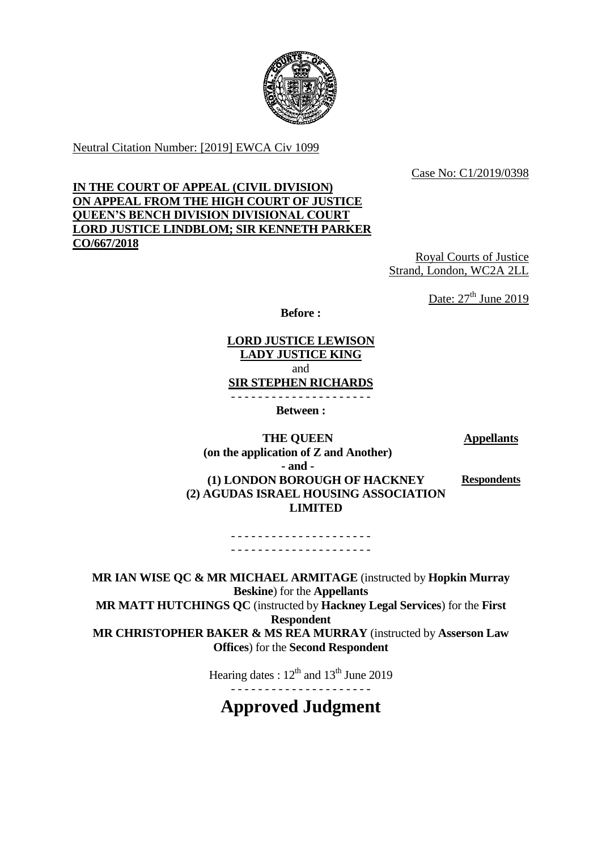

Neutral Citation Number: [2019] EWCA Civ 1099

Case No: C1/2019/0398

# **IN THE COURT OF APPEAL (CIVIL DIVISION) ON APPEAL FROM THE HIGH COURT OF JUSTICE QUEEN'S BENCH DIVISION DIVISIONAL COURT LORD JUSTICE LINDBLOM; SIR KENNETH PARKER CO/667/2018**

Royal Courts of Justice Strand, London, WC2A 2LL

Date:  $27<sup>th</sup>$  June 2019

**Before :**

**LORD JUSTICE LEWISON LADY JUSTICE KING** and **SIR STEPHEN RICHARDS** - - - - - - - - - - - - - - - - - - - - -

**Between :**

**Appellants**

**THE QUEEN (on the application of Z and Another) - and - (1) LONDON BOROUGH OF HACKNEY (2) AGUDAS ISRAEL HOUSING ASSOCIATION LIMITED**

**Respondents**

- - - - - - - - - - - - - - - - - - - - - - - - - - - - - - - - - - - - - - - - - -

**MR IAN WISE QC & MR MICHAEL ARMITAGE** (instructed by **Hopkin Murray Beskine**) for the **Appellants MR MATT HUTCHINGS QC** (instructed by **Hackney Legal Services**) for the **First Respondent MR CHRISTOPHER BAKER & MS REA MURRAY** (instructed by **Asserson Law Offices**) for the **Second Respondent**

> Hearing dates :  $12^{th}$  and  $13^{th}$  June 2019 - - - - - - - - - - - - - - - - - - - - -

# **Approved Judgment**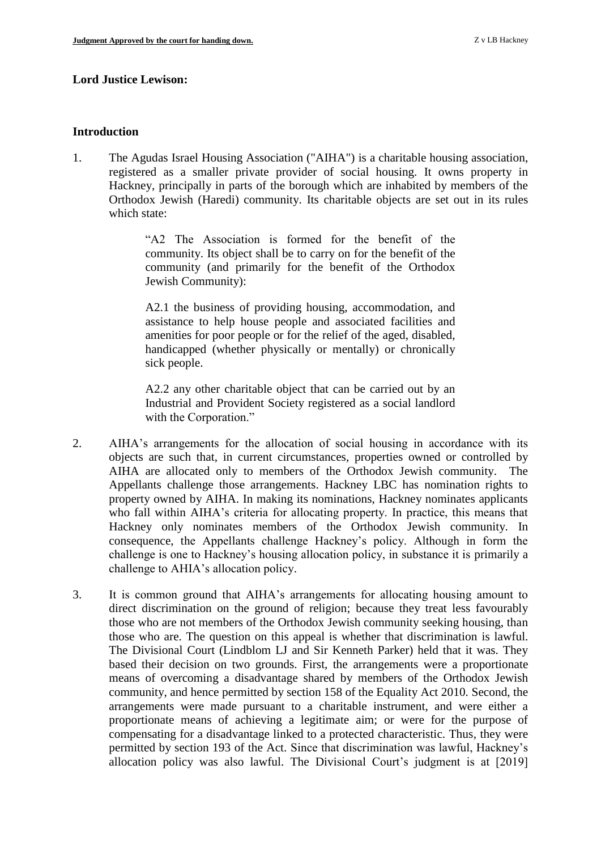## **Lord Justice Lewison:**

## **Introduction**

1. The Agudas Israel Housing Association ("AIHA") is a charitable housing association, registered as a smaller private provider of social housing. It owns property in Hackney, principally in parts of the borough which are inhabited by members of the Orthodox Jewish (Haredi) community. Its charitable objects are set out in its rules which state:

> "A2 The Association is formed for the benefit of the community. Its object shall be to carry on for the benefit of the community (and primarily for the benefit of the Orthodox Jewish Community):

> A2.1 the business of providing housing, accommodation, and assistance to help house people and associated facilities and amenities for poor people or for the relief of the aged, disabled, handicapped (whether physically or mentally) or chronically sick people.

> A2.2 any other charitable object that can be carried out by an Industrial and Provident Society registered as a social landlord with the Corporation."

- 2. AIHA's arrangements for the allocation of social housing in accordance with its objects are such that, in current circumstances, properties owned or controlled by AIHA are allocated only to members of the Orthodox Jewish community. The Appellants challenge those arrangements. Hackney LBC has nomination rights to property owned by AIHA. In making its nominations, Hackney nominates applicants who fall within AIHA's criteria for allocating property. In practice, this means that Hackney only nominates members of the Orthodox Jewish community. In consequence, the Appellants challenge Hackney's policy. Although in form the challenge is one to Hackney's housing allocation policy, in substance it is primarily a challenge to AHIA's allocation policy.
- 3. It is common ground that AIHA's arrangements for allocating housing amount to direct discrimination on the ground of religion; because they treat less favourably those who are not members of the Orthodox Jewish community seeking housing, than those who are. The question on this appeal is whether that discrimination is lawful. The Divisional Court (Lindblom LJ and Sir Kenneth Parker) held that it was. They based their decision on two grounds. First, the arrangements were a proportionate means of overcoming a disadvantage shared by members of the Orthodox Jewish community, and hence permitted by section 158 of the Equality Act 2010. Second, the arrangements were made pursuant to a charitable instrument, and were either a proportionate means of achieving a legitimate aim; or were for the purpose of compensating for a disadvantage linked to a protected characteristic. Thus, they were permitted by section 193 of the Act. Since that discrimination was lawful, Hackney's allocation policy was also lawful. The Divisional Court's judgment is at [2019]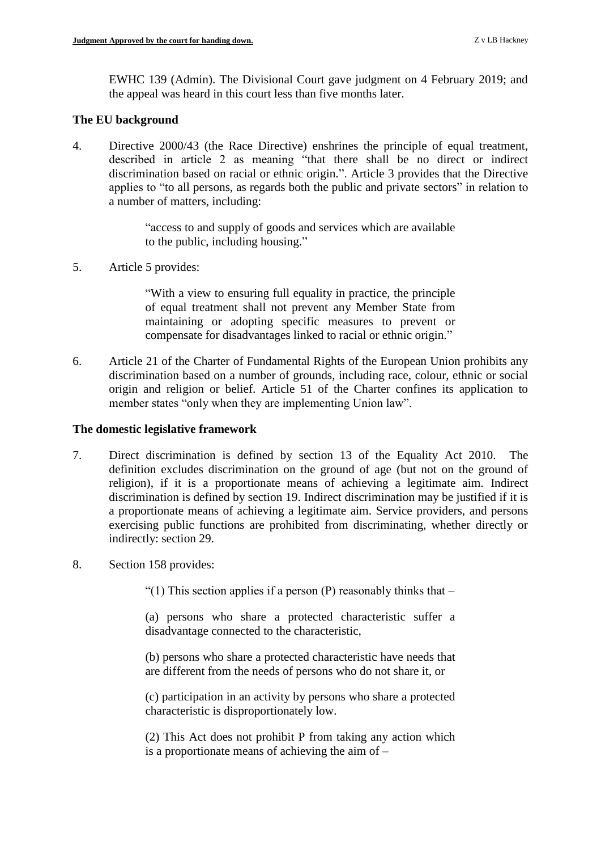EWHC 139 (Admin). The Divisional Court gave judgment on 4 February 2019; and the appeal was heard in this court less than five months later.

## **The EU background**

4. Directive 2000/43 (the Race Directive) enshrines the principle of equal treatment, described in article 2 as meaning "that there shall be no direct or indirect discrimination based on racial or ethnic origin.". Article 3 provides that the Directive applies to "to all persons, as regards both the public and private sectors" in relation to a number of matters, including:

> "access to and supply of goods and services which are available to the public, including housing."

5. Article 5 provides:

"With a view to ensuring full equality in practice, the principle of equal treatment shall not prevent any Member State from maintaining or adopting specific measures to prevent or compensate for disadvantages linked to racial or ethnic origin."

6. Article 21 of the Charter of Fundamental Rights of the European Union prohibits any discrimination based on a number of grounds, including race, colour, ethnic or social origin and religion or belief. Article 51 of the Charter confines its application to member states "only when they are implementing Union law".

## **The domestic legislative framework**

- 7. Direct discrimination is defined by section 13 of the Equality Act 2010. The definition excludes discrimination on the ground of age (but not on the ground of religion), if it is a proportionate means of achieving a legitimate aim. Indirect discrimination is defined by section 19. Indirect discrimination may be justified if it is a proportionate means of achieving a legitimate aim. Service providers, and persons exercising public functions are prohibited from discriminating, whether directly or indirectly: section 29.
- 8. Section 158 provides:

"(1) This section applies if a person (P) reasonably thinks that  $-$ 

(a) persons who share a protected characteristic suffer a disadvantage connected to the characteristic,

(b) persons who share a protected characteristic have needs that are different from the needs of persons who do not share it, or

(c) participation in an activity by persons who share a protected characteristic is disproportionately low.

(2) This Act does not prohibit P from taking any action which is a proportionate means of achieving the aim of –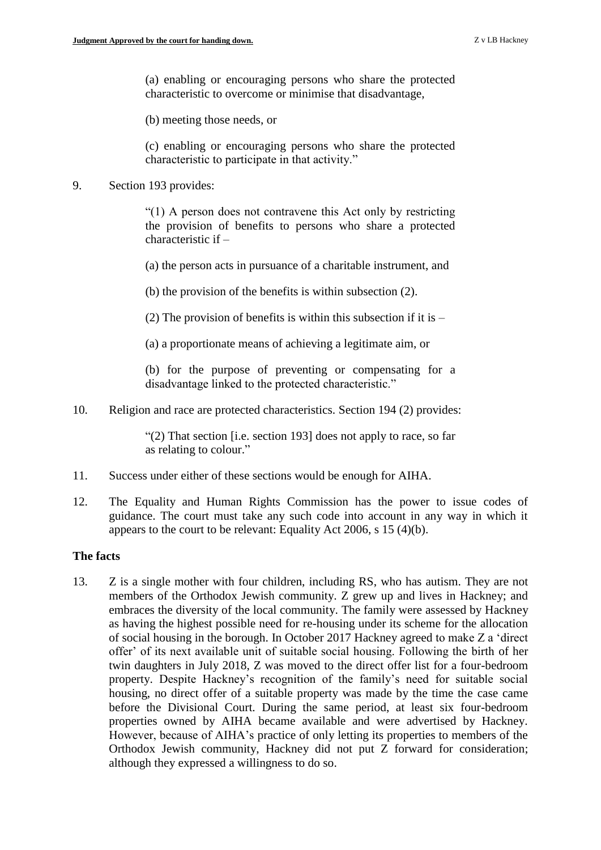(a) enabling or encouraging persons who share the protected characteristic to overcome or minimise that disadvantage,

(b) meeting those needs, or

(c) enabling or encouraging persons who share the protected characteristic to participate in that activity."

#### 9. Section 193 provides:

"(1) A person does not contravene this Act only by restricting the provision of benefits to persons who share a protected characteristic if –

(a) the person acts in pursuance of a charitable instrument, and

(b) the provision of the benefits is within subsection (2).

(2) The provision of benefits is within this subsection if it is  $-$ 

(a) a proportionate means of achieving a legitimate aim, or

(b) for the purpose of preventing or compensating for a disadvantage linked to the protected characteristic."

10. Religion and race are protected characteristics. Section 194 (2) provides:

"(2) That section [i.e. section 193] does not apply to race, so far as relating to colour."

- 11. Success under either of these sections would be enough for AIHA.
- 12. The Equality and Human Rights Commission has the power to issue codes of guidance. The court must take any such code into account in any way in which it appears to the court to be relevant: Equality Act 2006, s 15 (4)(b).

#### **The facts**

13. Z is a single mother with four children, including RS, who has autism. They are not members of the Orthodox Jewish community. Z grew up and lives in Hackney; and embraces the diversity of the local community. The family were assessed by Hackney as having the highest possible need for re-housing under its scheme for the allocation of social housing in the borough. In October 2017 Hackney agreed to make Z a 'direct offer' of its next available unit of suitable social housing. Following the birth of her twin daughters in July 2018, Z was moved to the direct offer list for a four-bedroom property. Despite Hackney's recognition of the family's need for suitable social housing, no direct offer of a suitable property was made by the time the case came before the Divisional Court. During the same period, at least six four-bedroom properties owned by AIHA became available and were advertised by Hackney. However, because of AIHA's practice of only letting its properties to members of the Orthodox Jewish community, Hackney did not put Z forward for consideration; although they expressed a willingness to do so.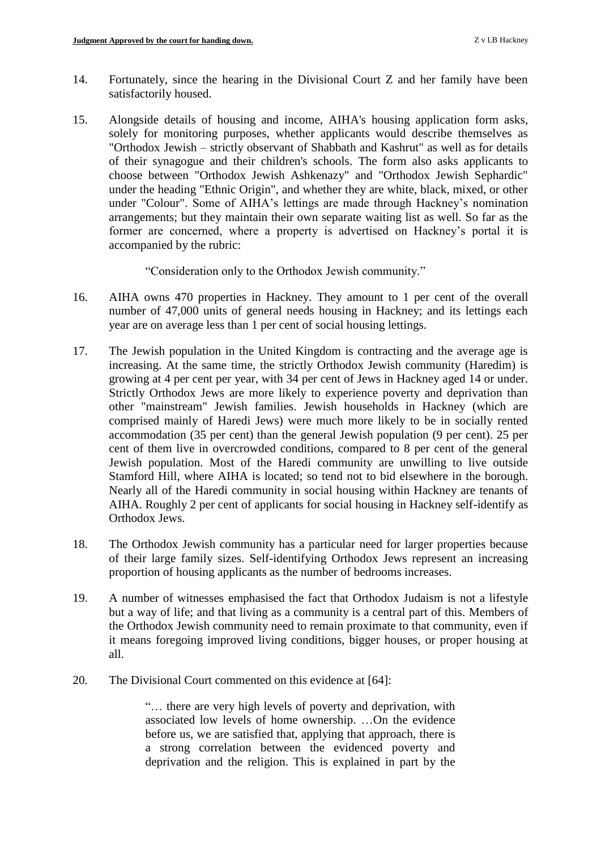- 14. Fortunately, since the hearing in the Divisional Court Z and her family have been satisfactorily housed.
- 15. Alongside details of housing and income, AIHA's housing application form asks, solely for monitoring purposes, whether applicants would describe themselves as "Orthodox Jewish – strictly observant of Shabbath and Kashrut" as well as for details of their synagogue and their children's schools. The form also asks applicants to choose between "Orthodox Jewish Ashkenazy" and "Orthodox Jewish Sephardic" under the heading "Ethnic Origin", and whether they are white, black, mixed, or other under "Colour". Some of AIHA's lettings are made through Hackney's nomination arrangements; but they maintain their own separate waiting list as well. So far as the former are concerned, where a property is advertised on Hackney's portal it is accompanied by the rubric:

"Consideration only to the Orthodox Jewish community."

- 16. AIHA owns 470 properties in Hackney. They amount to 1 per cent of the overall number of 47,000 units of general needs housing in Hackney; and its lettings each year are on average less than 1 per cent of social housing lettings.
- 17. The Jewish population in the United Kingdom is contracting and the average age is increasing. At the same time, the strictly Orthodox Jewish community (Haredim) is growing at 4 per cent per year, with 34 per cent of Jews in Hackney aged 14 or under. Strictly Orthodox Jews are more likely to experience poverty and deprivation than other "mainstream" Jewish families. Jewish households in Hackney (which are comprised mainly of Haredi Jews) were much more likely to be in socially rented accommodation (35 per cent) than the general Jewish population (9 per cent). 25 per cent of them live in overcrowded conditions, compared to 8 per cent of the general Jewish population. Most of the Haredi community are unwilling to live outside Stamford Hill, where AIHA is located; so tend not to bid elsewhere in the borough. Nearly all of the Haredi community in social housing within Hackney are tenants of AIHA. Roughly 2 per cent of applicants for social housing in Hackney self-identify as Orthodox Jews.
- 18. The Orthodox Jewish community has a particular need for larger properties because of their large family sizes. Self-identifying Orthodox Jews represent an increasing proportion of housing applicants as the number of bedrooms increases.
- 19. A number of witnesses emphasised the fact that Orthodox Judaism is not a lifestyle but a way of life; and that living as a community is a central part of this. Members of the Orthodox Jewish community need to remain proximate to that community, even if it means foregoing improved living conditions, bigger houses, or proper housing at all.
- 20. The Divisional Court commented on this evidence at [64]:

"… there are very high levels of poverty and deprivation, with associated low levels of home ownership. …On the evidence before us, we are satisfied that, applying that approach, there is a strong correlation between the evidenced poverty and deprivation and the religion. This is explained in part by the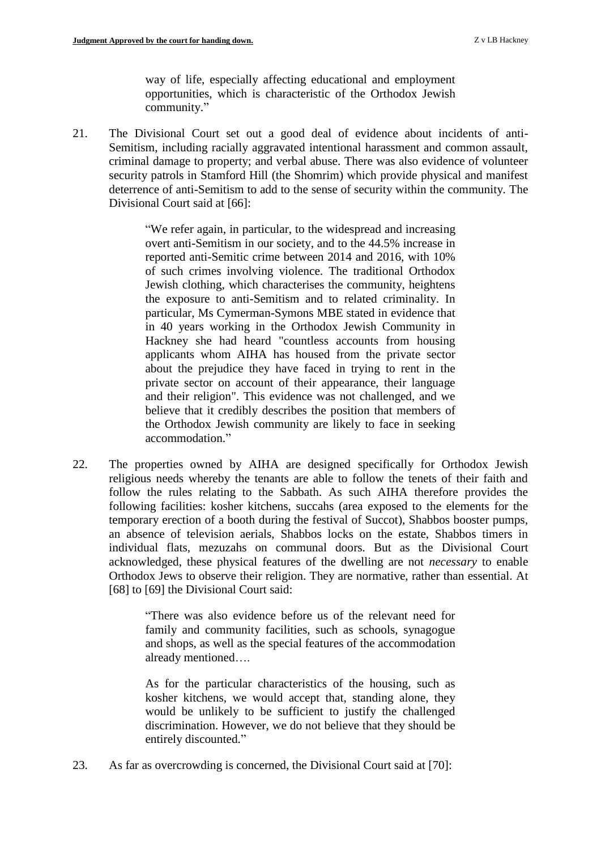way of life, especially affecting educational and employment opportunities, which is characteristic of the Orthodox Jewish community."

21. The Divisional Court set out a good deal of evidence about incidents of anti-Semitism, including racially aggravated intentional harassment and common assault, criminal damage to property; and verbal abuse. There was also evidence of volunteer security patrols in Stamford Hill (the Shomrim) which provide physical and manifest deterrence of anti-Semitism to add to the sense of security within the community. The Divisional Court said at [66]:

> "We refer again, in particular, to the widespread and increasing overt anti-Semitism in our society, and to the 44.5% increase in reported anti-Semitic crime between 2014 and 2016, with 10% of such crimes involving violence. The traditional Orthodox Jewish clothing, which characterises the community, heightens the exposure to anti-Semitism and to related criminality. In particular, Ms Cymerman-Symons MBE stated in evidence that in 40 years working in the Orthodox Jewish Community in Hackney she had heard "countless accounts from housing applicants whom AIHA has housed from the private sector about the prejudice they have faced in trying to rent in the private sector on account of their appearance, their language and their religion". This evidence was not challenged, and we believe that it credibly describes the position that members of the Orthodox Jewish community are likely to face in seeking accommodation."

22. The properties owned by AIHA are designed specifically for Orthodox Jewish religious needs whereby the tenants are able to follow the tenets of their faith and follow the rules relating to the Sabbath. As such AIHA therefore provides the following facilities: kosher kitchens, succahs (area exposed to the elements for the temporary erection of a booth during the festival of Succot), Shabbos booster pumps, an absence of television aerials, Shabbos locks on the estate, Shabbos timers in individual flats, mezuzahs on communal doors. But as the Divisional Court acknowledged, these physical features of the dwelling are not *necessary* to enable Orthodox Jews to observe their religion. They are normative, rather than essential. At [68] to [69] the Divisional Court said:

> "There was also evidence before us of the relevant need for family and community facilities, such as schools, synagogue and shops, as well as the special features of the accommodation already mentioned….

> As for the particular characteristics of the housing, such as kosher kitchens, we would accept that, standing alone, they would be unlikely to be sufficient to justify the challenged discrimination. However, we do not believe that they should be entirely discounted."

23. As far as overcrowding is concerned, the Divisional Court said at [70]: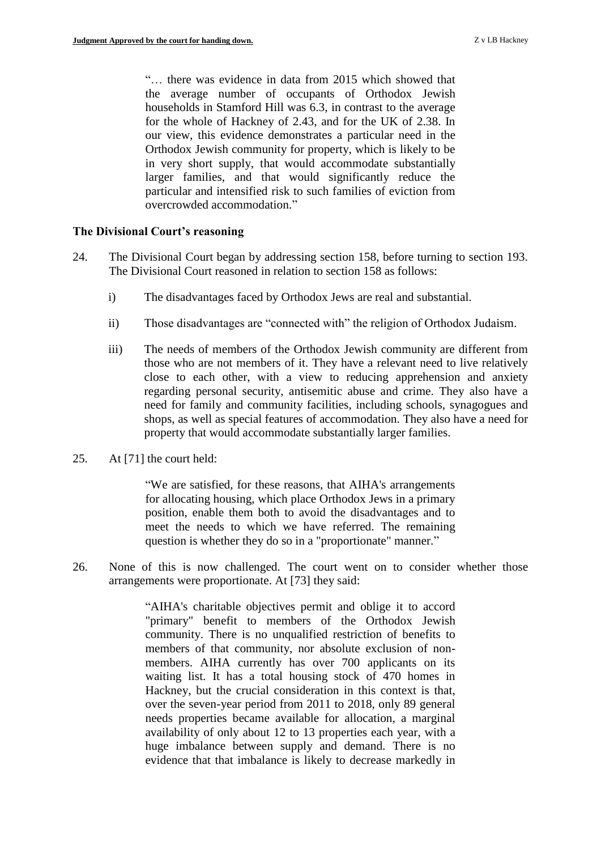"… there was evidence in data from 2015 which showed that the average number of occupants of Orthodox Jewish households in Stamford Hill was 6.3, in contrast to the average for the whole of Hackney of 2.43, and for the UK of 2.38. In our view, this evidence demonstrates a particular need in the Orthodox Jewish community for property, which is likely to be in very short supply, that would accommodate substantially larger families, and that would significantly reduce the particular and intensified risk to such families of eviction from overcrowded accommodation."

#### **The Divisional Court's reasoning**

- 24. The Divisional Court began by addressing section 158, before turning to section 193. The Divisional Court reasoned in relation to section 158 as follows:
	- i) The disadvantages faced by Orthodox Jews are real and substantial.
	- ii) Those disadvantages are "connected with" the religion of Orthodox Judaism.
	- iii) The needs of members of the Orthodox Jewish community are different from those who are not members of it. They have a relevant need to live relatively close to each other, with a view to reducing apprehension and anxiety regarding personal security, antisemitic abuse and crime. They also have a need for family and community facilities, including schools, synagogues and shops, as well as special features of accommodation. They also have a need for property that would accommodate substantially larger families.
- 25. At [71] the court held:

"We are satisfied, for these reasons, that AIHA's arrangements for allocating housing, which place Orthodox Jews in a primary position, enable them both to avoid the disadvantages and to meet the needs to which we have referred. The remaining question is whether they do so in a "proportionate" manner."

26. None of this is now challenged. The court went on to consider whether those arrangements were proportionate. At [73] they said:

> "AIHA's charitable objectives permit and oblige it to accord "primary" benefit to members of the Orthodox Jewish community. There is no unqualified restriction of benefits to members of that community, nor absolute exclusion of nonmembers. AIHA currently has over 700 applicants on its waiting list. It has a total housing stock of 470 homes in Hackney, but the crucial consideration in this context is that, over the seven-year period from 2011 to 2018, only 89 general needs properties became available for allocation, a marginal availability of only about 12 to 13 properties each year, with a huge imbalance between supply and demand. There is no evidence that that imbalance is likely to decrease markedly in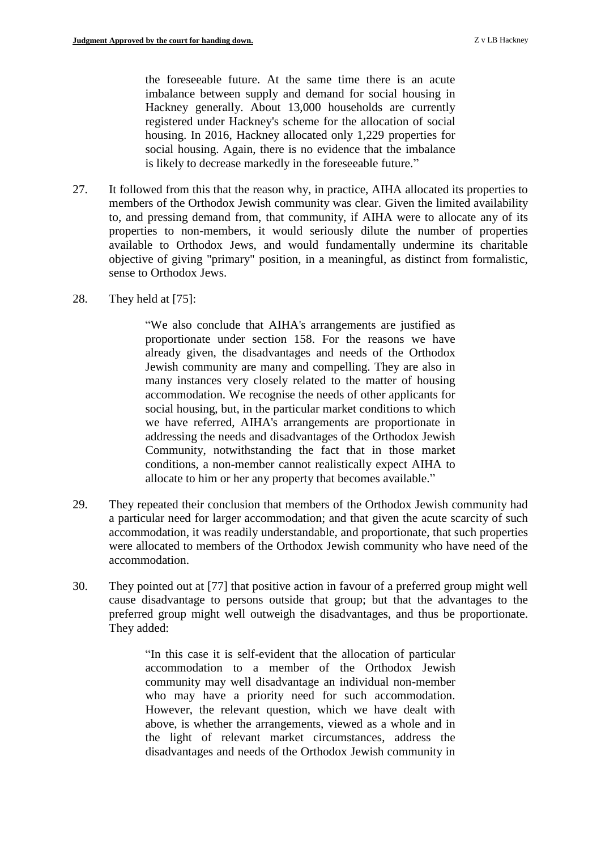the foreseeable future. At the same time there is an acute imbalance between supply and demand for social housing in Hackney generally. About 13,000 households are currently registered under Hackney's scheme for the allocation of social housing. In 2016, Hackney allocated only 1,229 properties for social housing. Again, there is no evidence that the imbalance is likely to decrease markedly in the foreseeable future."

- 27. It followed from this that the reason why, in practice, AIHA allocated its properties to members of the Orthodox Jewish community was clear. Given the limited availability to, and pressing demand from, that community, if AIHA were to allocate any of its properties to non-members, it would seriously dilute the number of properties available to Orthodox Jews, and would fundamentally undermine its charitable objective of giving "primary" position, in a meaningful, as distinct from formalistic, sense to Orthodox Jews.
- 28. They held at [75]:

"We also conclude that AIHA's arrangements are justified as proportionate under section 158. For the reasons we have already given, the disadvantages and needs of the Orthodox Jewish community are many and compelling. They are also in many instances very closely related to the matter of housing accommodation. We recognise the needs of other applicants for social housing, but, in the particular market conditions to which we have referred, AIHA's arrangements are proportionate in addressing the needs and disadvantages of the Orthodox Jewish Community, notwithstanding the fact that in those market conditions, a non-member cannot realistically expect AIHA to allocate to him or her any property that becomes available."

- 29. They repeated their conclusion that members of the Orthodox Jewish community had a particular need for larger accommodation; and that given the acute scarcity of such accommodation, it was readily understandable, and proportionate, that such properties were allocated to members of the Orthodox Jewish community who have need of the accommodation.
- 30. They pointed out at [77] that positive action in favour of a preferred group might well cause disadvantage to persons outside that group; but that the advantages to the preferred group might well outweigh the disadvantages, and thus be proportionate. They added:

"In this case it is self-evident that the allocation of particular accommodation to a member of the Orthodox Jewish community may well disadvantage an individual non-member who may have a priority need for such accommodation. However, the relevant question, which we have dealt with above, is whether the arrangements, viewed as a whole and in the light of relevant market circumstances, address the disadvantages and needs of the Orthodox Jewish community in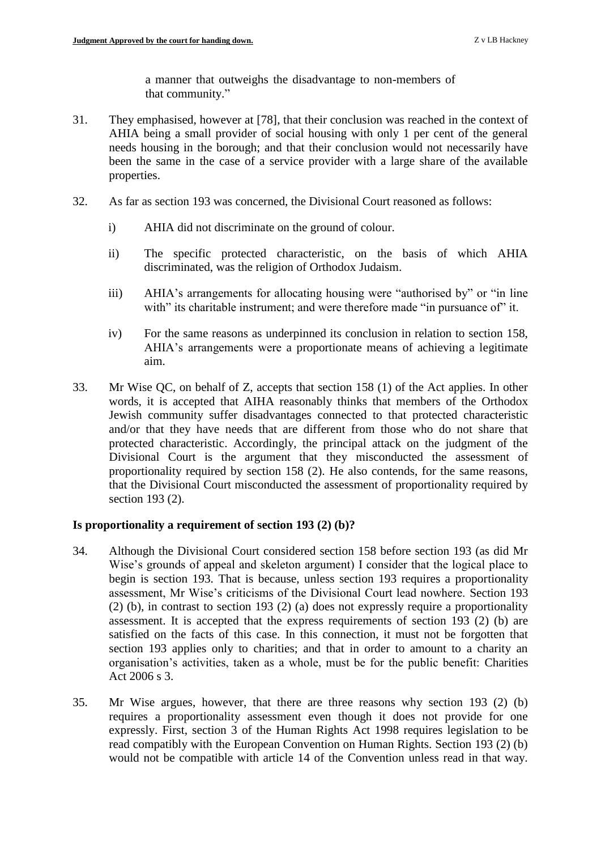a manner that outweighs the disadvantage to non-members of that community."

- 31. They emphasised, however at [78], that their conclusion was reached in the context of AHIA being a small provider of social housing with only 1 per cent of the general needs housing in the borough; and that their conclusion would not necessarily have been the same in the case of a service provider with a large share of the available properties.
- 32. As far as section 193 was concerned, the Divisional Court reasoned as follows:
	- i) AHIA did not discriminate on the ground of colour.
	- ii) The specific protected characteristic, on the basis of which AHIA discriminated, was the religion of Orthodox Judaism.
	- iii) AHIA's arrangements for allocating housing were "authorised by" or "in line with" its charitable instrument; and were therefore made "in pursuance of" it.
	- iv) For the same reasons as underpinned its conclusion in relation to section 158, AHIA's arrangements were a proportionate means of achieving a legitimate aim.
- 33. Mr Wise QC, on behalf of Z, accepts that section 158 (1) of the Act applies. In other words, it is accepted that AIHA reasonably thinks that members of the Orthodox Jewish community suffer disadvantages connected to that protected characteristic and/or that they have needs that are different from those who do not share that protected characteristic. Accordingly, the principal attack on the judgment of the Divisional Court is the argument that they misconducted the assessment of proportionality required by section 158 (2). He also contends, for the same reasons, that the Divisional Court misconducted the assessment of proportionality required by section 193 (2).

## **Is proportionality a requirement of section 193 (2) (b)?**

- 34. Although the Divisional Court considered section 158 before section 193 (as did Mr Wise's grounds of appeal and skeleton argument) I consider that the logical place to begin is section 193. That is because, unless section 193 requires a proportionality assessment, Mr Wise's criticisms of the Divisional Court lead nowhere. Section 193 (2) (b), in contrast to section 193 (2) (a) does not expressly require a proportionality assessment. It is accepted that the express requirements of section 193 (2) (b) are satisfied on the facts of this case. In this connection, it must not be forgotten that section 193 applies only to charities; and that in order to amount to a charity an organisation's activities, taken as a whole, must be for the public benefit: Charities Act 2006 s 3.
- 35. Mr Wise argues, however, that there are three reasons why section 193 (2) (b) requires a proportionality assessment even though it does not provide for one expressly. First, section 3 of the Human Rights Act 1998 requires legislation to be read compatibly with the European Convention on Human Rights. Section 193 (2) (b) would not be compatible with article 14 of the Convention unless read in that way.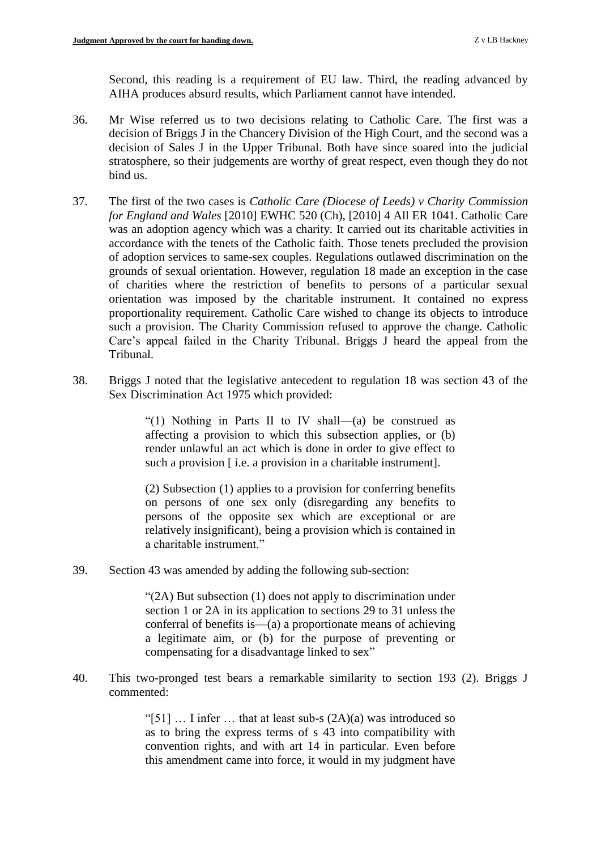Second, this reading is a requirement of EU law. Third, the reading advanced by AIHA produces absurd results, which Parliament cannot have intended.

- 36. Mr Wise referred us to two decisions relating to Catholic Care. The first was a decision of Briggs J in the Chancery Division of the High Court, and the second was a decision of Sales J in the Upper Tribunal. Both have since soared into the judicial stratosphere, so their judgements are worthy of great respect, even though they do not bind us.
- 37. The first of the two cases is *Catholic Care (Diocese of Leeds) v Charity Commission for England and Wales* [2010] EWHC 520 (Ch), [2010] 4 All ER 1041. Catholic Care was an adoption agency which was a charity. It carried out its charitable activities in accordance with the tenets of the Catholic faith. Those tenets precluded the provision of adoption services to same-sex couples. Regulations outlawed discrimination on the grounds of sexual orientation. However, regulation 18 made an exception in the case of charities where the restriction of benefits to persons of a particular sexual orientation was imposed by the charitable instrument. It contained no express proportionality requirement. Catholic Care wished to change its objects to introduce such a provision. The Charity Commission refused to approve the change. Catholic Care's appeal failed in the Charity Tribunal. Briggs J heard the appeal from the Tribunal.
- 38. Briggs J noted that the legislative antecedent to regulation 18 was section 43 of the Sex Discrimination Act 1975 which provided:

"(1) Nothing in Parts II to IV shall—(a) be construed as affecting a provision to which this subsection applies, or (b) render unlawful an act which is done in order to give effect to such a provision  $\lceil$  i.e. a provision in a charitable instrument].

(2) Subsection (1) applies to a provision for conferring benefits on persons of one sex only (disregarding any benefits to persons of the opposite sex which are exceptional or are relatively insignificant), being a provision which is contained in a charitable instrument."

39. Section 43 was amended by adding the following sub-section:

"(2A) But subsection (1) does not apply to discrimination under section 1 or 2A in its application to sections 29 to 31 unless the conferral of benefits is—(a) a proportionate means of achieving a legitimate aim, or (b) for the purpose of preventing or compensating for a disadvantage linked to sex"

40. This two-pronged test bears a remarkable similarity to section 193 (2). Briggs J commented:

> "[51]  $\dots$  I infer  $\dots$  that at least sub-s  $(2A)(a)$  was introduced so as to bring the express terms of s 43 into compatibility with convention rights, and with art 14 in particular. Even before this amendment came into force, it would in my judgment have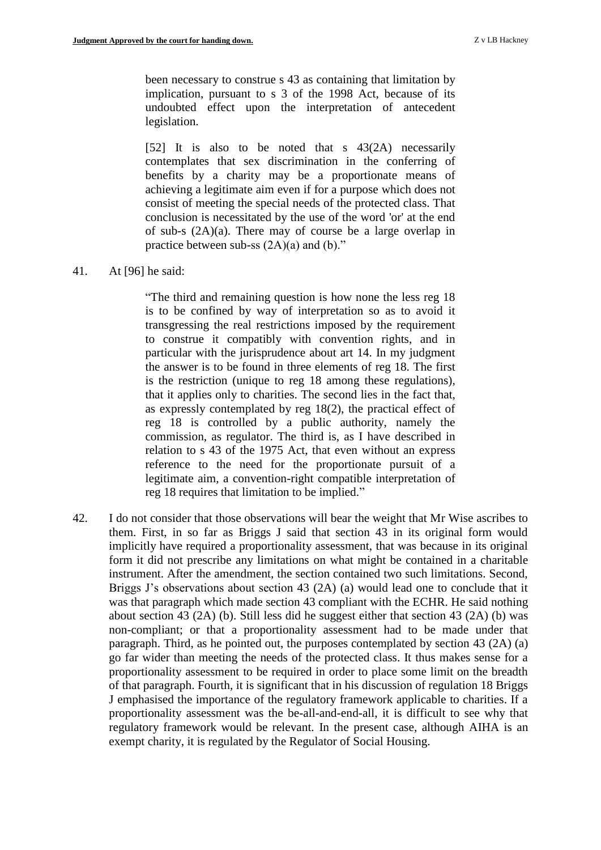been necessary to construe s 43 as containing that limitation by implication, pursuant to s 3 of the 1998 Act, because of its undoubted effect upon the interpretation of antecedent legislation.

[52] It is also to be noted that s 43(2A) necessarily contemplates that sex discrimination in the conferring of benefits by a charity may be a proportionate means of achieving a legitimate aim even if for a purpose which does not consist of meeting the special needs of the protected class. That conclusion is necessitated by the use of the word 'or' at the end of sub-s (2A)(a). There may of course be a large overlap in practice between sub-ss  $(2A)(a)$  and  $(b)$ ."

## 41. At [96] he said:

"The third and remaining question is how none the less reg 18 is to be confined by way of interpretation so as to avoid it transgressing the real restrictions imposed by the requirement to construe it compatibly with convention rights, and in particular with the jurisprudence about art 14. In my judgment the answer is to be found in three elements of reg 18. The first is the restriction (unique to reg 18 among these regulations), that it applies only to charities. The second lies in the fact that, as expressly contemplated by reg 18(2), the practical effect of reg 18 is controlled by a public authority, namely the commission, as regulator. The third is, as I have described in relation to s 43 of the 1975 Act, that even without an express reference to the need for the proportionate pursuit of a legitimate aim, a convention-right compatible interpretation of reg 18 requires that limitation to be implied."

42. I do not consider that those observations will bear the weight that Mr Wise ascribes to them. First, in so far as Briggs J said that section 43 in its original form would implicitly have required a proportionality assessment, that was because in its original form it did not prescribe any limitations on what might be contained in a charitable instrument. After the amendment, the section contained two such limitations. Second, Briggs J's observations about section 43 (2A) (a) would lead one to conclude that it was that paragraph which made section 43 compliant with the ECHR. He said nothing about section 43 (2A) (b). Still less did he suggest either that section 43 (2A) (b) was non-compliant; or that a proportionality assessment had to be made under that paragraph. Third, as he pointed out, the purposes contemplated by section 43 (2A) (a) go far wider than meeting the needs of the protected class. It thus makes sense for a proportionality assessment to be required in order to place some limit on the breadth of that paragraph. Fourth, it is significant that in his discussion of regulation 18 Briggs J emphasised the importance of the regulatory framework applicable to charities. If a proportionality assessment was the be-all-and-end-all, it is difficult to see why that regulatory framework would be relevant. In the present case, although AIHA is an exempt charity, it is regulated by the Regulator of Social Housing.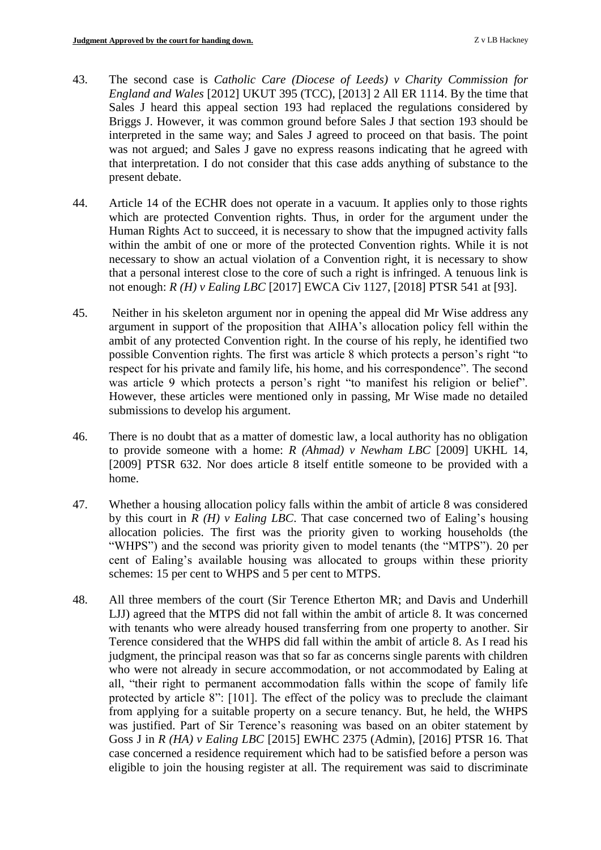- 43. The second case is *Catholic Care (Diocese of Leeds) v Charity Commission for England and Wales* [2012] UKUT 395 (TCC), [2013] 2 All ER 1114. By the time that Sales J heard this appeal section 193 had replaced the regulations considered by Briggs J. However, it was common ground before Sales J that section 193 should be interpreted in the same way; and Sales J agreed to proceed on that basis. The point was not argued; and Sales J gave no express reasons indicating that he agreed with that interpretation. I do not consider that this case adds anything of substance to the present debate.
- 44. Article 14 of the ECHR does not operate in a vacuum. It applies only to those rights which are protected Convention rights. Thus, in order for the argument under the Human Rights Act to succeed, it is necessary to show that the impugned activity falls within the ambit of one or more of the protected Convention rights. While it is not necessary to show an actual violation of a Convention right, it is necessary to show that a personal interest close to the core of such a right is infringed. A tenuous link is not enough: *R (H) v Ealing LBC* [2017] EWCA Civ 1127, [2018] PTSR 541 at [93].
- 45. Neither in his skeleton argument nor in opening the appeal did Mr Wise address any argument in support of the proposition that AIHA's allocation policy fell within the ambit of any protected Convention right. In the course of his reply, he identified two possible Convention rights. The first was article 8 which protects a person's right "to respect for his private and family life, his home, and his correspondence". The second was article 9 which protects a person's right "to manifest his religion or belief". However, these articles were mentioned only in passing, Mr Wise made no detailed submissions to develop his argument.
- 46. There is no doubt that as a matter of domestic law, a local authority has no obligation to provide someone with a home: *R (Ahmad) v Newham LBC* [2009] UKHL 14, [2009] PTSR 632. Nor does article 8 itself entitle someone to be provided with a home.
- 47. Whether a housing allocation policy falls within the ambit of article 8 was considered by this court in *R (H) v Ealing LBC*. That case concerned two of Ealing's housing allocation policies. The first was the priority given to working households (the "WHPS") and the second was priority given to model tenants (the "MTPS"). 20 per cent of Ealing's available housing was allocated to groups within these priority schemes: 15 per cent to WHPS and 5 per cent to MTPS.
- 48. All three members of the court (Sir Terence Etherton MR; and Davis and Underhill LJJ) agreed that the MTPS did not fall within the ambit of article 8. It was concerned with tenants who were already housed transferring from one property to another. Sir Terence considered that the WHPS did fall within the ambit of article 8. As I read his judgment, the principal reason was that so far as concerns single parents with children who were not already in secure accommodation, or not accommodated by Ealing at all, "their right to permanent accommodation falls within the scope of family life protected by article 8": [101]. The effect of the policy was to preclude the claimant from applying for a suitable property on a secure tenancy. But, he held, the WHPS was justified. Part of Sir Terence's reasoning was based on an obiter statement by Goss J in *R (HA) v Ealing LBC* [2015] EWHC 2375 (Admin), [2016] PTSR 16. That case concerned a residence requirement which had to be satisfied before a person was eligible to join the housing register at all. The requirement was said to discriminate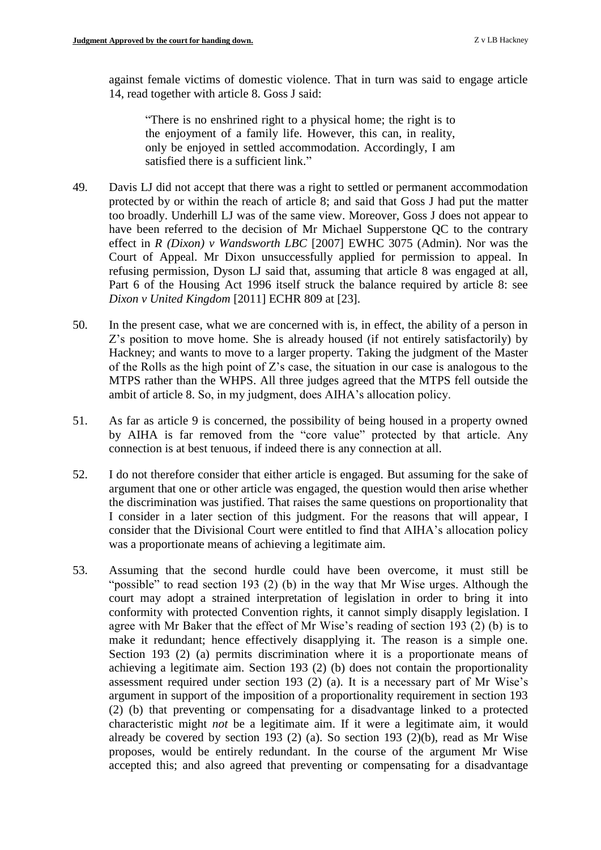against female victims of domestic violence. That in turn was said to engage article 14, read together with article 8. Goss J said:

"There is no enshrined right to a physical home; the right is to the enjoyment of a family life. However, this can, in reality, only be enjoyed in settled accommodation. Accordingly, I am satisfied there is a sufficient link."

- 49. Davis LJ did not accept that there was a right to settled or permanent accommodation protected by or within the reach of article 8; and said that Goss J had put the matter too broadly. Underhill LJ was of the same view. Moreover, Goss J does not appear to have been referred to the decision of Mr Michael Supperstone QC to the contrary effect in *R (Dixon) v Wandsworth LBC* [2007] EWHC 3075 (Admin). Nor was the Court of Appeal. Mr Dixon unsuccessfully applied for permission to appeal. In refusing permission, Dyson LJ said that, assuming that article 8 was engaged at all, Part 6 of the Housing Act 1996 itself struck the balance required by article 8: see *Dixon v United Kingdom* [2011] ECHR 809 at [23].
- 50. In the present case, what we are concerned with is, in effect, the ability of a person in Z's position to move home. She is already housed (if not entirely satisfactorily) by Hackney; and wants to move to a larger property. Taking the judgment of the Master of the Rolls as the high point of Z's case, the situation in our case is analogous to the MTPS rather than the WHPS. All three judges agreed that the MTPS fell outside the ambit of article 8. So, in my judgment, does AIHA's allocation policy.
- 51. As far as article 9 is concerned, the possibility of being housed in a property owned by AIHA is far removed from the "core value" protected by that article. Any connection is at best tenuous, if indeed there is any connection at all.
- 52. I do not therefore consider that either article is engaged. But assuming for the sake of argument that one or other article was engaged, the question would then arise whether the discrimination was justified. That raises the same questions on proportionality that I consider in a later section of this judgment. For the reasons that will appear, I consider that the Divisional Court were entitled to find that AIHA's allocation policy was a proportionate means of achieving a legitimate aim.
- 53. Assuming that the second hurdle could have been overcome, it must still be "possible" to read section 193 (2) (b) in the way that Mr Wise urges. Although the court may adopt a strained interpretation of legislation in order to bring it into conformity with protected Convention rights, it cannot simply disapply legislation. I agree with Mr Baker that the effect of Mr Wise's reading of section 193 (2) (b) is to make it redundant; hence effectively disapplying it. The reason is a simple one. Section 193 (2) (a) permits discrimination where it is a proportionate means of achieving a legitimate aim. Section 193 (2) (b) does not contain the proportionality assessment required under section 193 (2) (a). It is a necessary part of Mr Wise's argument in support of the imposition of a proportionality requirement in section 193 (2) (b) that preventing or compensating for a disadvantage linked to a protected characteristic might *not* be a legitimate aim. If it were a legitimate aim, it would already be covered by section 193 (2) (a). So section 193 (2)(b), read as Mr Wise proposes, would be entirely redundant. In the course of the argument Mr Wise accepted this; and also agreed that preventing or compensating for a disadvantage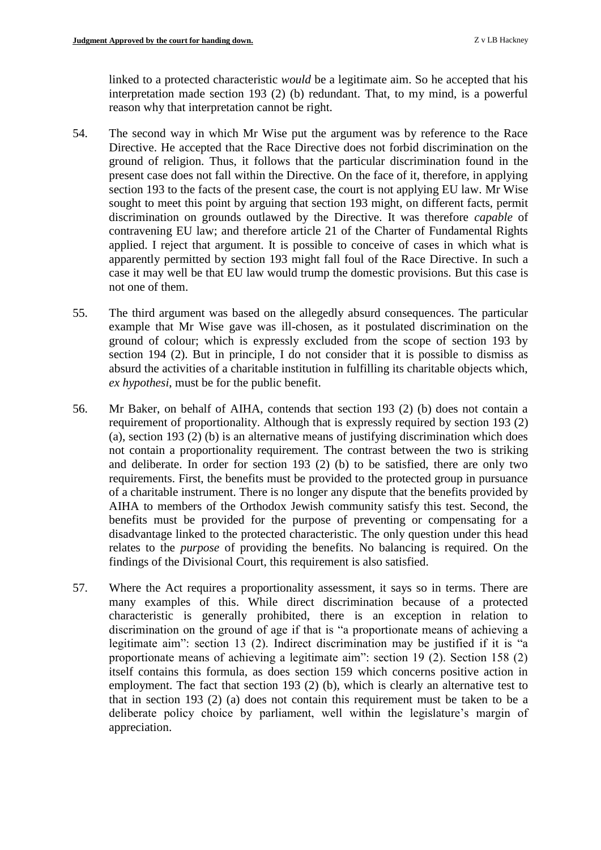linked to a protected characteristic *would* be a legitimate aim. So he accepted that his interpretation made section 193 (2) (b) redundant. That, to my mind, is a powerful reason why that interpretation cannot be right.

- 54. The second way in which Mr Wise put the argument was by reference to the Race Directive. He accepted that the Race Directive does not forbid discrimination on the ground of religion. Thus, it follows that the particular discrimination found in the present case does not fall within the Directive. On the face of it, therefore, in applying section 193 to the facts of the present case, the court is not applying EU law. Mr Wise sought to meet this point by arguing that section 193 might, on different facts, permit discrimination on grounds outlawed by the Directive. It was therefore *capable* of contravening EU law; and therefore article 21 of the Charter of Fundamental Rights applied. I reject that argument. It is possible to conceive of cases in which what is apparently permitted by section 193 might fall foul of the Race Directive. In such a case it may well be that EU law would trump the domestic provisions. But this case is not one of them.
- 55. The third argument was based on the allegedly absurd consequences. The particular example that Mr Wise gave was ill-chosen, as it postulated discrimination on the ground of colour; which is expressly excluded from the scope of section 193 by section 194 (2). But in principle, I do not consider that it is possible to dismiss as absurd the activities of a charitable institution in fulfilling its charitable objects which, *ex hypothesi*, must be for the public benefit.
- 56. Mr Baker, on behalf of AIHA, contends that section 193 (2) (b) does not contain a requirement of proportionality. Although that is expressly required by section 193 (2) (a), section 193 (2) (b) is an alternative means of justifying discrimination which does not contain a proportionality requirement. The contrast between the two is striking and deliberate. In order for section 193 (2) (b) to be satisfied, there are only two requirements. First, the benefits must be provided to the protected group in pursuance of a charitable instrument. There is no longer any dispute that the benefits provided by AIHA to members of the Orthodox Jewish community satisfy this test. Second, the benefits must be provided for the purpose of preventing or compensating for a disadvantage linked to the protected characteristic. The only question under this head relates to the *purpose* of providing the benefits. No balancing is required. On the findings of the Divisional Court, this requirement is also satisfied.
- 57. Where the Act requires a proportionality assessment, it says so in terms. There are many examples of this. While direct discrimination because of a protected characteristic is generally prohibited, there is an exception in relation to discrimination on the ground of age if that is "a proportionate means of achieving a legitimate aim": section 13 (2). Indirect discrimination may be justified if it is "a proportionate means of achieving a legitimate aim": section 19 (2). Section 158 (2) itself contains this formula, as does section 159 which concerns positive action in employment. The fact that section 193 (2) (b), which is clearly an alternative test to that in section 193 (2) (a) does not contain this requirement must be taken to be a deliberate policy choice by parliament, well within the legislature's margin of appreciation.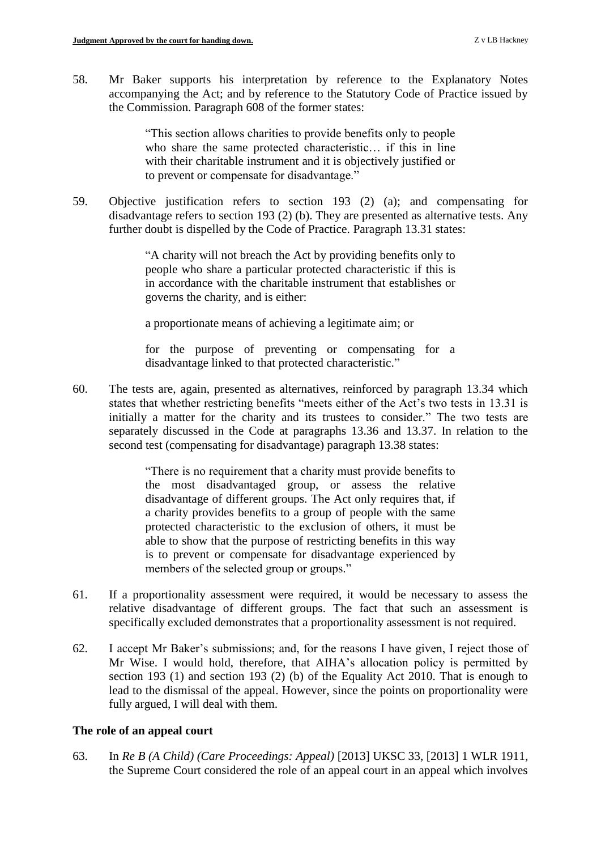58. Mr Baker supports his interpretation by reference to the Explanatory Notes accompanying the Act; and by reference to the Statutory Code of Practice issued by the Commission. Paragraph 608 of the former states:

> "This section allows charities to provide benefits only to people who share the same protected characteristic… if this in line with their charitable instrument and it is objectively justified or to prevent or compensate for disadvantage."

59. Objective justification refers to section 193 (2) (a); and compensating for disadvantage refers to section 193 (2) (b). They are presented as alternative tests. Any further doubt is dispelled by the Code of Practice. Paragraph 13.31 states:

> "A charity will not breach the Act by providing benefits only to people who share a particular protected characteristic if this is in accordance with the charitable instrument that establishes or governs the charity, and is either:

a proportionate means of achieving a legitimate aim; or

for the purpose of preventing or compensating for a disadvantage linked to that protected characteristic."

60. The tests are, again, presented as alternatives, reinforced by paragraph 13.34 which states that whether restricting benefits "meets either of the Act's two tests in 13.31 is initially a matter for the charity and its trustees to consider." The two tests are separately discussed in the Code at paragraphs 13.36 and 13.37. In relation to the second test (compensating for disadvantage) paragraph 13.38 states:

> "There is no requirement that a charity must provide benefits to the most disadvantaged group, or assess the relative disadvantage of different groups. The Act only requires that, if a charity provides benefits to a group of people with the same protected characteristic to the exclusion of others, it must be able to show that the purpose of restricting benefits in this way is to prevent or compensate for disadvantage experienced by members of the selected group or groups."

- 61. If a proportionality assessment were required, it would be necessary to assess the relative disadvantage of different groups. The fact that such an assessment is specifically excluded demonstrates that a proportionality assessment is not required.
- 62. I accept Mr Baker's submissions; and, for the reasons I have given, I reject those of Mr Wise. I would hold, therefore, that AIHA's allocation policy is permitted by section 193 (1) and section 193 (2) (b) of the Equality Act 2010. That is enough to lead to the dismissal of the appeal. However, since the points on proportionality were fully argued, I will deal with them.

## **The role of an appeal court**

63. In *Re B (A Child) (Care Proceedings: Appeal)* [2013] UKSC 33, [2013] 1 WLR 1911, the Supreme Court considered the role of an appeal court in an appeal which involves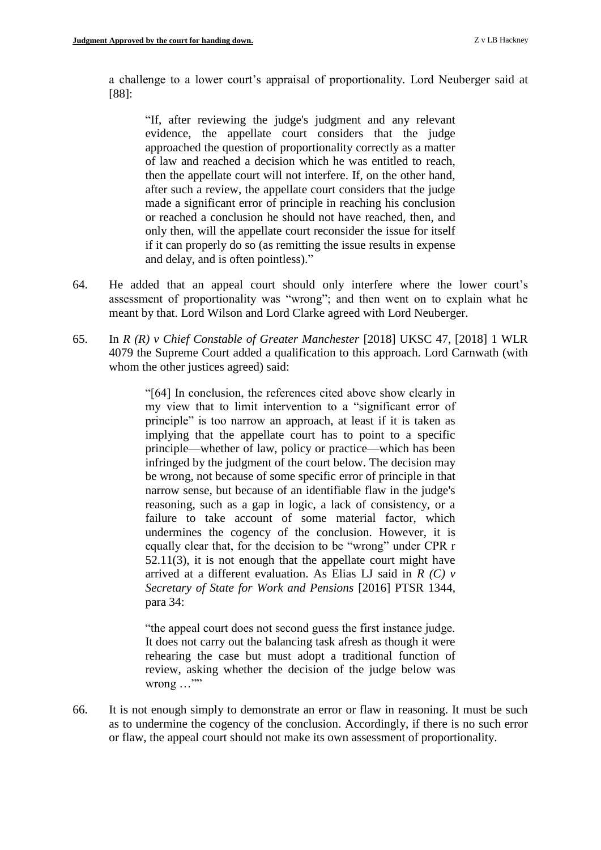a challenge to a lower court's appraisal of proportionality. Lord Neuberger said at [88]:

"If, after reviewing the judge's judgment and any relevant evidence, the appellate court considers that the judge approached the question of proportionality correctly as a matter of law and reached a decision which he was entitled to reach, then the appellate court will not interfere. If, on the other hand, after such a review, the appellate court considers that the judge made a significant error of principle in reaching his conclusion or reached a conclusion he should not have reached, then, and only then, will the appellate court reconsider the issue for itself if it can properly do so (as remitting the issue results in expense and delay, and is often pointless)."

- 64. He added that an appeal court should only interfere where the lower court's assessment of proportionality was "wrong"; and then went on to explain what he meant by that. Lord Wilson and Lord Clarke agreed with Lord Neuberger.
- 65. In *R (R) v Chief Constable of Greater Manchester* [2018] UKSC 47, [2018] 1 WLR 4079 the Supreme Court added a qualification to this approach. Lord Carnwath (with whom the other justices agreed) said:

"[64] In conclusion, the references cited above show clearly in my view that to limit intervention to a "significant error of principle" is too narrow an approach, at least if it is taken as implying that the appellate court has to point to a specific principle—whether of law, policy or practice—which has been infringed by the judgment of the court below. The decision may be wrong, not because of some specific error of principle in that narrow sense, but because of an identifiable flaw in the judge's reasoning, such as a gap in logic, a lack of consistency, or a failure to take account of some material factor, which undermines the cogency of the conclusion. However, it is equally clear that, for the decision to be "wrong" under CPR r 52.11(3), it is not enough that the appellate court might have arrived at a different evaluation. As Elias LJ said in *R (C) v Secretary of State for Work and Pensions* [2016] PTSR 1344, para 34:

"the appeal court does not second guess the first instance judge. It does not carry out the balancing task afresh as though it were rehearing the case but must adopt a traditional function of review, asking whether the decision of the judge below was  $w$ rong  $\ldots$ ""

66. It is not enough simply to demonstrate an error or flaw in reasoning. It must be such as to undermine the cogency of the conclusion. Accordingly, if there is no such error or flaw, the appeal court should not make its own assessment of proportionality.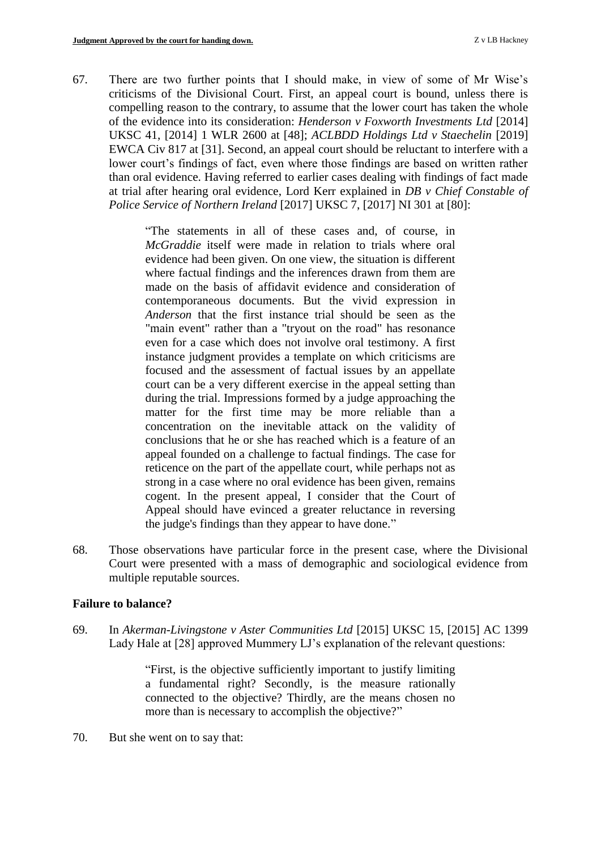67. There are two further points that I should make, in view of some of Mr Wise's criticisms of the Divisional Court. First, an appeal court is bound, unless there is compelling reason to the contrary, to assume that the lower court has taken the whole of the evidence into its consideration: *Henderson v Foxworth Investments Ltd* [2014] UKSC 41, [2014] 1 WLR 2600 at [48]; *ACLBDD Holdings Ltd v Staechelin* [2019] EWCA Civ 817 at [31]. Second, an appeal court should be reluctant to interfere with a lower court's findings of fact, even where those findings are based on written rather than oral evidence. Having referred to earlier cases dealing with findings of fact made at trial after hearing oral evidence, Lord Kerr explained in *DB v Chief Constable of Police Service of Northern Ireland* [2017] UKSC 7, [2017] NI 301 at [80]:

> "The statements in all of these cases and, of course, in *McGraddie* itself were made in relation to trials where oral evidence had been given. On one view, the situation is different where factual findings and the inferences drawn from them are made on the basis of affidavit evidence and consideration of contemporaneous documents. But the vivid expression in *Anderson* that the first instance trial should be seen as the "main event" rather than a "tryout on the road" has resonance even for a case which does not involve oral testimony. A first instance judgment provides a template on which criticisms are focused and the assessment of factual issues by an appellate court can be a very different exercise in the appeal setting than during the trial. Impressions formed by a judge approaching the matter for the first time may be more reliable than a concentration on the inevitable attack on the validity of conclusions that he or she has reached which is a feature of an appeal founded on a challenge to factual findings. The case for reticence on the part of the appellate court, while perhaps not as strong in a case where no oral evidence has been given, remains cogent. In the present appeal, I consider that the Court of Appeal should have evinced a greater reluctance in reversing the judge's findings than they appear to have done."

68. Those observations have particular force in the present case, where the Divisional Court were presented with a mass of demographic and sociological evidence from multiple reputable sources.

#### **Failure to balance?**

69. In *Akerman-Livingstone v Aster Communities Ltd* [2015] UKSC 15, [2015] AC 1399 Lady Hale at [28] approved Mummery LJ's explanation of the relevant questions:

> "First, is the objective sufficiently important to justify limiting a fundamental right? Secondly, is the measure rationally connected to the objective? Thirdly, are the means chosen no more than is necessary to accomplish the objective?"

70. But she went on to say that: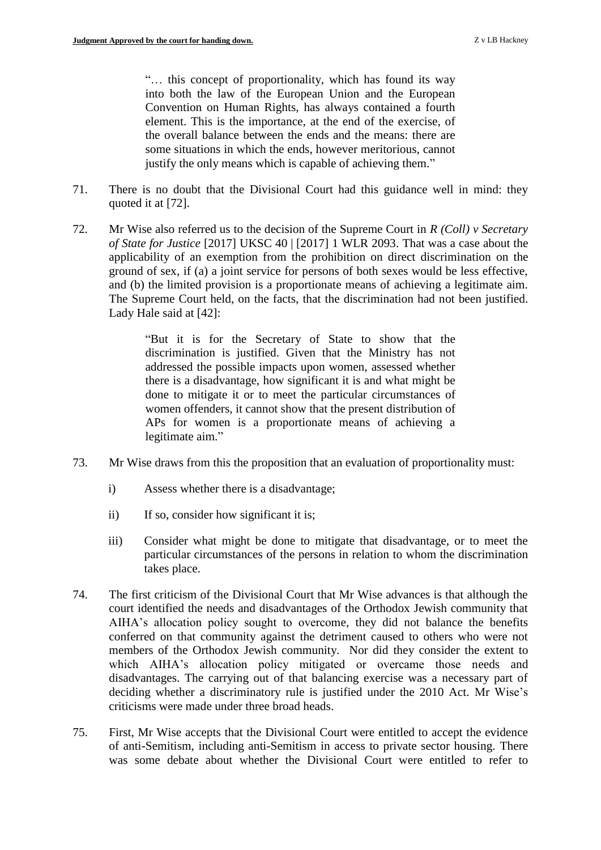"… this concept of proportionality, which has found its way into both the law of the European Union and the European Convention on Human Rights, has always contained a fourth element. This is the importance, at the end of the exercise, of the overall balance between the ends and the means: there are some situations in which the ends, however meritorious, cannot justify the only means which is capable of achieving them."

- 71. There is no doubt that the Divisional Court had this guidance well in mind: they quoted it at [72].
- 72. Mr Wise also referred us to the decision of the Supreme Court in *R (Coll) v Secretary of State for Justice* [2017] UKSC 40 | [2017] 1 WLR 2093. That was a case about the applicability of an exemption from the prohibition on direct discrimination on the ground of sex, if (a) a joint service for persons of both sexes would be less effective, and (b) the limited provision is a proportionate means of achieving a legitimate aim. The Supreme Court held, on the facts, that the discrimination had not been justified. Lady Hale said at [42]:

"But it is for the Secretary of State to show that the discrimination is justified. Given that the Ministry has not addressed the possible impacts upon women, assessed whether there is a disadvantage, how significant it is and what might be done to mitigate it or to meet the particular circumstances of women offenders, it cannot show that the present distribution of APs for women is a proportionate means of achieving a legitimate aim."

- 73. Mr Wise draws from this the proposition that an evaluation of proportionality must:
	- i) Assess whether there is a disadvantage;
	- ii) If so, consider how significant it is;
	- iii) Consider what might be done to mitigate that disadvantage, or to meet the particular circumstances of the persons in relation to whom the discrimination takes place.
- 74. The first criticism of the Divisional Court that Mr Wise advances is that although the court identified the needs and disadvantages of the Orthodox Jewish community that AIHA's allocation policy sought to overcome, they did not balance the benefits conferred on that community against the detriment caused to others who were not members of the Orthodox Jewish community. Nor did they consider the extent to which AIHA's allocation policy mitigated or overcame those needs and disadvantages. The carrying out of that balancing exercise was a necessary part of deciding whether a discriminatory rule is justified under the 2010 Act. Mr Wise's criticisms were made under three broad heads.
- 75. First, Mr Wise accepts that the Divisional Court were entitled to accept the evidence of anti-Semitism, including anti-Semitism in access to private sector housing. There was some debate about whether the Divisional Court were entitled to refer to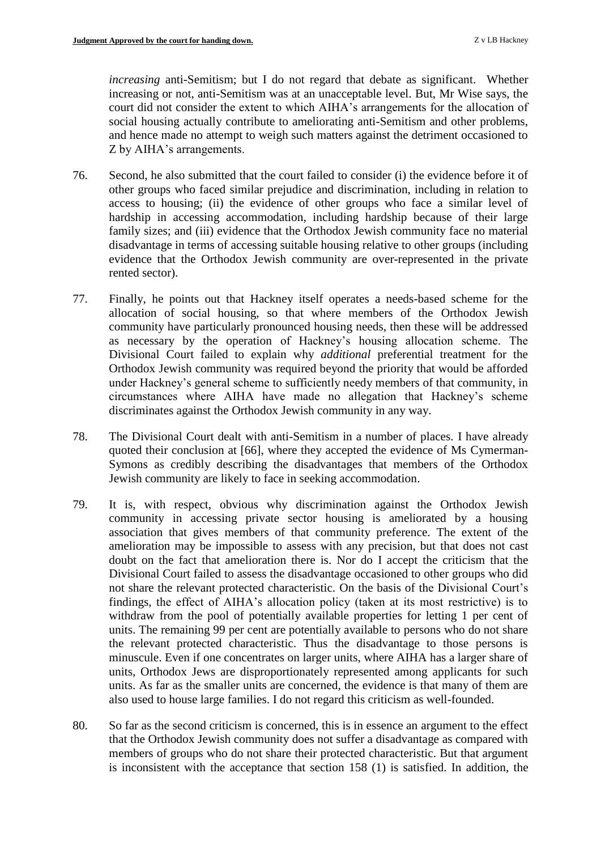*increasing* anti-Semitism; but I do not regard that debate as significant. Whether increasing or not, anti-Semitism was at an unacceptable level. But, Mr Wise says, the court did not consider the extent to which AIHA's arrangements for the allocation of social housing actually contribute to ameliorating anti-Semitism and other problems, and hence made no attempt to weigh such matters against the detriment occasioned to Z by AIHA's arrangements.

- 76. Second, he also submitted that the court failed to consider (i) the evidence before it of other groups who faced similar prejudice and discrimination, including in relation to access to housing; (ii) the evidence of other groups who face a similar level of hardship in accessing accommodation, including hardship because of their large family sizes; and (iii) evidence that the Orthodox Jewish community face no material disadvantage in terms of accessing suitable housing relative to other groups (including evidence that the Orthodox Jewish community are over-represented in the private rented sector).
- 77. Finally, he points out that Hackney itself operates a needs-based scheme for the allocation of social housing, so that where members of the Orthodox Jewish community have particularly pronounced housing needs, then these will be addressed as necessary by the operation of Hackney's housing allocation scheme. The Divisional Court failed to explain why *additional* preferential treatment for the Orthodox Jewish community was required beyond the priority that would be afforded under Hackney's general scheme to sufficiently needy members of that community, in circumstances where AIHA have made no allegation that Hackney's scheme discriminates against the Orthodox Jewish community in any way.
- 78. The Divisional Court dealt with anti-Semitism in a number of places. I have already quoted their conclusion at [66], where they accepted the evidence of Ms Cymerman-Symons as credibly describing the disadvantages that members of the Orthodox Jewish community are likely to face in seeking accommodation.
- 79. It is, with respect, obvious why discrimination against the Orthodox Jewish community in accessing private sector housing is ameliorated by a housing association that gives members of that community preference. The extent of the amelioration may be impossible to assess with any precision, but that does not cast doubt on the fact that amelioration there is. Nor do I accept the criticism that the Divisional Court failed to assess the disadvantage occasioned to other groups who did not share the relevant protected characteristic. On the basis of the Divisional Court's findings, the effect of AIHA's allocation policy (taken at its most restrictive) is to withdraw from the pool of potentially available properties for letting 1 per cent of units. The remaining 99 per cent are potentially available to persons who do not share the relevant protected characteristic. Thus the disadvantage to those persons is minuscule. Even if one concentrates on larger units, where AIHA has a larger share of units, Orthodox Jews are disproportionately represented among applicants for such units. As far as the smaller units are concerned, the evidence is that many of them are also used to house large families. I do not regard this criticism as well-founded.
- 80. So far as the second criticism is concerned, this is in essence an argument to the effect that the Orthodox Jewish community does not suffer a disadvantage as compared with members of groups who do not share their protected characteristic. But that argument is inconsistent with the acceptance that section 158 (1) is satisfied. In addition, the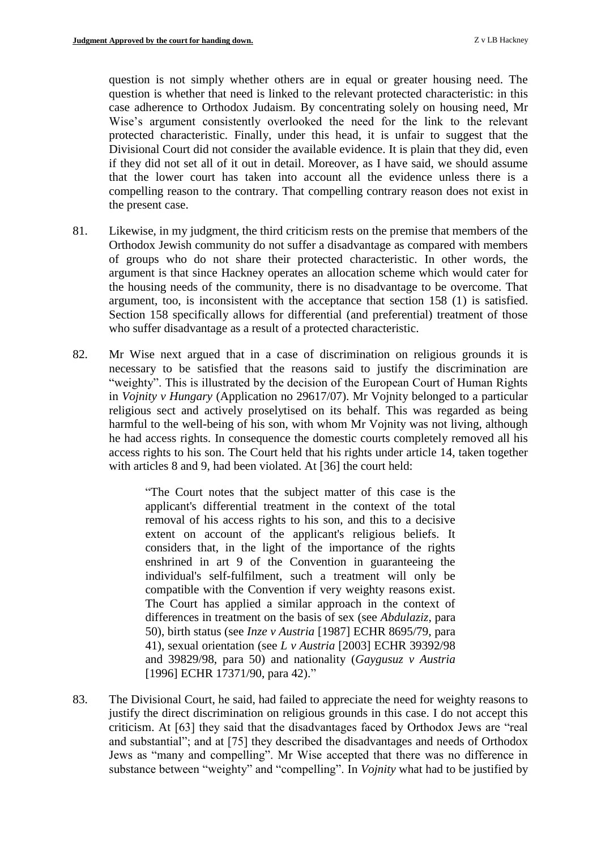question is not simply whether others are in equal or greater housing need. The question is whether that need is linked to the relevant protected characteristic: in this case adherence to Orthodox Judaism. By concentrating solely on housing need, Mr Wise's argument consistently overlooked the need for the link to the relevant protected characteristic. Finally, under this head, it is unfair to suggest that the Divisional Court did not consider the available evidence. It is plain that they did, even if they did not set all of it out in detail. Moreover, as I have said, we should assume that the lower court has taken into account all the evidence unless there is a compelling reason to the contrary. That compelling contrary reason does not exist in the present case.

- 81. Likewise, in my judgment, the third criticism rests on the premise that members of the Orthodox Jewish community do not suffer a disadvantage as compared with members of groups who do not share their protected characteristic. In other words, the argument is that since Hackney operates an allocation scheme which would cater for the housing needs of the community, there is no disadvantage to be overcome. That argument, too, is inconsistent with the acceptance that section 158 (1) is satisfied. Section 158 specifically allows for differential (and preferential) treatment of those who suffer disadvantage as a result of a protected characteristic.
- 82. Mr Wise next argued that in a case of discrimination on religious grounds it is necessary to be satisfied that the reasons said to justify the discrimination are "weighty". This is illustrated by the decision of the European Court of Human Rights in *Vojnity v Hungary* (Application no 29617/07). Mr Vojnity belonged to a particular religious sect and actively proselytised on its behalf. This was regarded as being harmful to the well-being of his son, with whom Mr Vojnity was not living, although he had access rights. In consequence the domestic courts completely removed all his access rights to his son. The Court held that his rights under article 14, taken together with articles 8 and 9, had been violated. At [36] the court held:

"The Court notes that the subject matter of this case is the applicant's differential treatment in the context of the total removal of his access rights to his son, and this to a decisive extent on account of the applicant's religious beliefs. It considers that, in the light of the importance of the rights enshrined in art 9 of the Convention in guaranteeing the individual's self-fulfilment, such a treatment will only be compatible with the Convention if very weighty reasons exist. The Court has applied a similar approach in the context of differences in treatment on the basis of sex (see *Abdulaziz*, para 50), birth status (see *Inze v Austria* [1987] ECHR 8695/79, para 41), sexual orientation (see *L v Austria* [2003] ECHR 39392/98 and 39829/98, para 50) and nationality (*Gaygusuz v Austria* [1996] ECHR 17371/90, para 42)."

83. The Divisional Court, he said, had failed to appreciate the need for weighty reasons to justify the direct discrimination on religious grounds in this case. I do not accept this criticism. At [63] they said that the disadvantages faced by Orthodox Jews are "real and substantial"; and at [75] they described the disadvantages and needs of Orthodox Jews as "many and compelling". Mr Wise accepted that there was no difference in substance between "weighty" and "compelling". In *Vojnity* what had to be justified by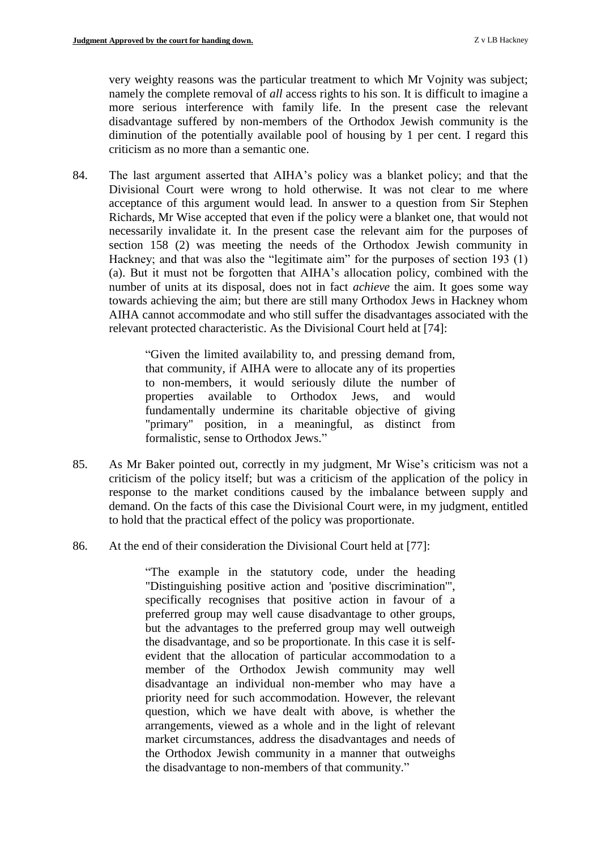very weighty reasons was the particular treatment to which Mr Vojnity was subject; namely the complete removal of *all* access rights to his son. It is difficult to imagine a more serious interference with family life. In the present case the relevant disadvantage suffered by non-members of the Orthodox Jewish community is the diminution of the potentially available pool of housing by 1 per cent. I regard this criticism as no more than a semantic one.

84. The last argument asserted that AIHA's policy was a blanket policy; and that the Divisional Court were wrong to hold otherwise. It was not clear to me where acceptance of this argument would lead. In answer to a question from Sir Stephen Richards, Mr Wise accepted that even if the policy were a blanket one, that would not necessarily invalidate it. In the present case the relevant aim for the purposes of section 158 (2) was meeting the needs of the Orthodox Jewish community in Hackney; and that was also the "legitimate aim" for the purposes of section 193 (1) (a). But it must not be forgotten that AIHA's allocation policy, combined with the number of units at its disposal, does not in fact *achieve* the aim. It goes some way towards achieving the aim; but there are still many Orthodox Jews in Hackney whom AIHA cannot accommodate and who still suffer the disadvantages associated with the relevant protected characteristic. As the Divisional Court held at [74]:

> "Given the limited availability to, and pressing demand from, that community, if AIHA were to allocate any of its properties to non-members, it would seriously dilute the number of properties available to Orthodox Jews, and would fundamentally undermine its charitable objective of giving "primary" position, in a meaningful, as distinct from formalistic, sense to Orthodox Jews."

- 85. As Mr Baker pointed out, correctly in my judgment, Mr Wise's criticism was not a criticism of the policy itself; but was a criticism of the application of the policy in response to the market conditions caused by the imbalance between supply and demand. On the facts of this case the Divisional Court were, in my judgment, entitled to hold that the practical effect of the policy was proportionate.
- 86. At the end of their consideration the Divisional Court held at [77]:

"The example in the statutory code, under the heading "Distinguishing positive action and 'positive discrimination'", specifically recognises that positive action in favour of a preferred group may well cause disadvantage to other groups, but the advantages to the preferred group may well outweigh the disadvantage, and so be proportionate. In this case it is selfevident that the allocation of particular accommodation to a member of the Orthodox Jewish community may well disadvantage an individual non-member who may have a priority need for such accommodation. However, the relevant question, which we have dealt with above, is whether the arrangements, viewed as a whole and in the light of relevant market circumstances, address the disadvantages and needs of the Orthodox Jewish community in a manner that outweighs the disadvantage to non-members of that community."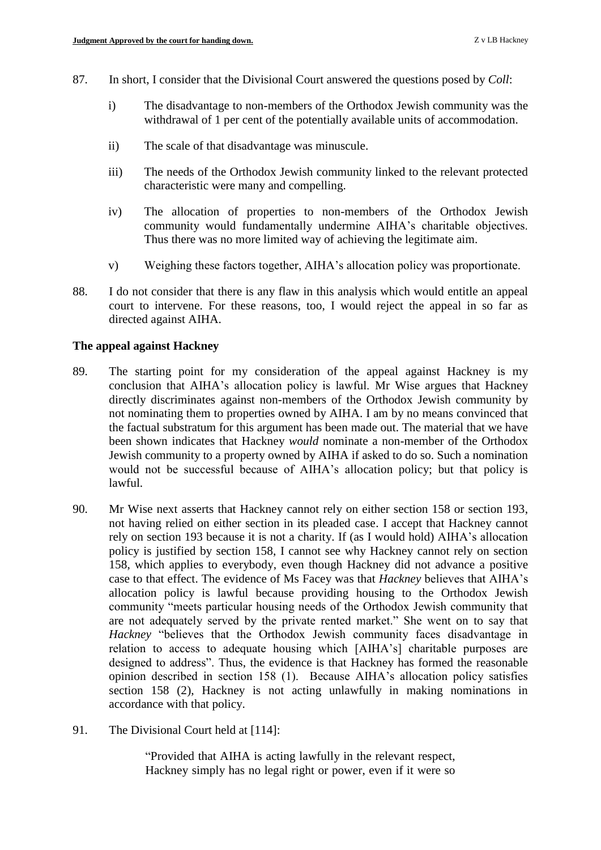- 87. In short, I consider that the Divisional Court answered the questions posed by *Coll*:
	- i) The disadvantage to non-members of the Orthodox Jewish community was the withdrawal of 1 per cent of the potentially available units of accommodation.
	- ii) The scale of that disadvantage was minuscule.
	- iii) The needs of the Orthodox Jewish community linked to the relevant protected characteristic were many and compelling.
	- iv) The allocation of properties to non-members of the Orthodox Jewish community would fundamentally undermine AIHA's charitable objectives. Thus there was no more limited way of achieving the legitimate aim.
	- v) Weighing these factors together, AIHA's allocation policy was proportionate.
- 88. I do not consider that there is any flaw in this analysis which would entitle an appeal court to intervene. For these reasons, too, I would reject the appeal in so far as directed against AIHA.

## **The appeal against Hackney**

- 89. The starting point for my consideration of the appeal against Hackney is my conclusion that AIHA's allocation policy is lawful. Mr Wise argues that Hackney directly discriminates against non-members of the Orthodox Jewish community by not nominating them to properties owned by AIHA. I am by no means convinced that the factual substratum for this argument has been made out. The material that we have been shown indicates that Hackney *would* nominate a non-member of the Orthodox Jewish community to a property owned by AIHA if asked to do so. Such a nomination would not be successful because of AIHA's allocation policy; but that policy is lawful.
- 90. Mr Wise next asserts that Hackney cannot rely on either section 158 or section 193, not having relied on either section in its pleaded case. I accept that Hackney cannot rely on section 193 because it is not a charity. If (as I would hold) AIHA's allocation policy is justified by section 158, I cannot see why Hackney cannot rely on section 158, which applies to everybody, even though Hackney did not advance a positive case to that effect. The evidence of Ms Facey was that *Hackney* believes that AIHA's allocation policy is lawful because providing housing to the Orthodox Jewish community "meets particular housing needs of the Orthodox Jewish community that are not adequately served by the private rented market." She went on to say that *Hackney* "believes that the Orthodox Jewish community faces disadvantage in relation to access to adequate housing which [AIHA's] charitable purposes are designed to address". Thus, the evidence is that Hackney has formed the reasonable opinion described in section 158 (1). Because AIHA's allocation policy satisfies section 158 (2), Hackney is not acting unlawfully in making nominations in accordance with that policy.
- 91. The Divisional Court held at [114]:

"Provided that AIHA is acting lawfully in the relevant respect, Hackney simply has no legal right or power, even if it were so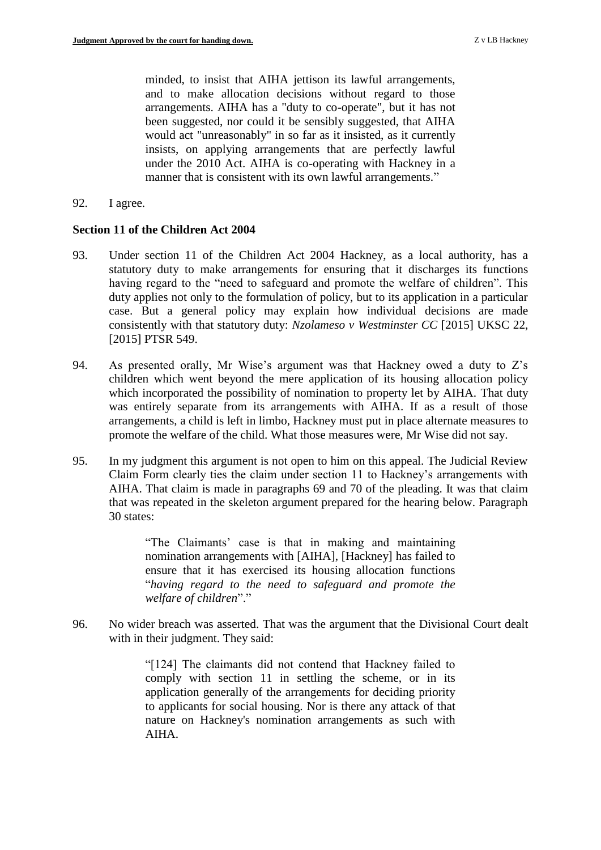minded, to insist that AIHA jettison its lawful arrangements, and to make allocation decisions without regard to those arrangements. AIHA has a "duty to co-operate", but it has not been suggested, nor could it be sensibly suggested, that AIHA would act "unreasonably" in so far as it insisted, as it currently insists, on applying arrangements that are perfectly lawful under the 2010 Act. AIHA is co-operating with Hackney in a manner that is consistent with its own lawful arrangements."

92. I agree.

## **Section 11 of the Children Act 2004**

- 93. Under section 11 of the Children Act 2004 Hackney, as a local authority, has a statutory duty to make arrangements for ensuring that it discharges its functions having regard to the "need to safeguard and promote the welfare of children". This duty applies not only to the formulation of policy, but to its application in a particular case. But a general policy may explain how individual decisions are made consistently with that statutory duty: *Nzolameso v Westminster CC* [2015] UKSC 22, [2015] PTSR 549.
- 94. As presented orally, Mr Wise's argument was that Hackney owed a duty to Z's children which went beyond the mere application of its housing allocation policy which incorporated the possibility of nomination to property let by AIHA. That duty was entirely separate from its arrangements with AIHA. If as a result of those arrangements, a child is left in limbo, Hackney must put in place alternate measures to promote the welfare of the child. What those measures were, Mr Wise did not say.
- 95. In my judgment this argument is not open to him on this appeal. The Judicial Review Claim Form clearly ties the claim under section 11 to Hackney's arrangements with AIHA. That claim is made in paragraphs 69 and 70 of the pleading. It was that claim that was repeated in the skeleton argument prepared for the hearing below. Paragraph 30 states:

"The Claimants' case is that in making and maintaining nomination arrangements with [AIHA], [Hackney] has failed to ensure that it has exercised its housing allocation functions "*having regard to the need to safeguard and promote the welfare of children*"."

96. No wider breach was asserted. That was the argument that the Divisional Court dealt with in their judgment. They said:

> "[124] The claimants did not contend that Hackney failed to comply with section 11 in settling the scheme, or in its application generally of the arrangements for deciding priority to applicants for social housing. Nor is there any attack of that nature on Hackney's nomination arrangements as such with AIHA.